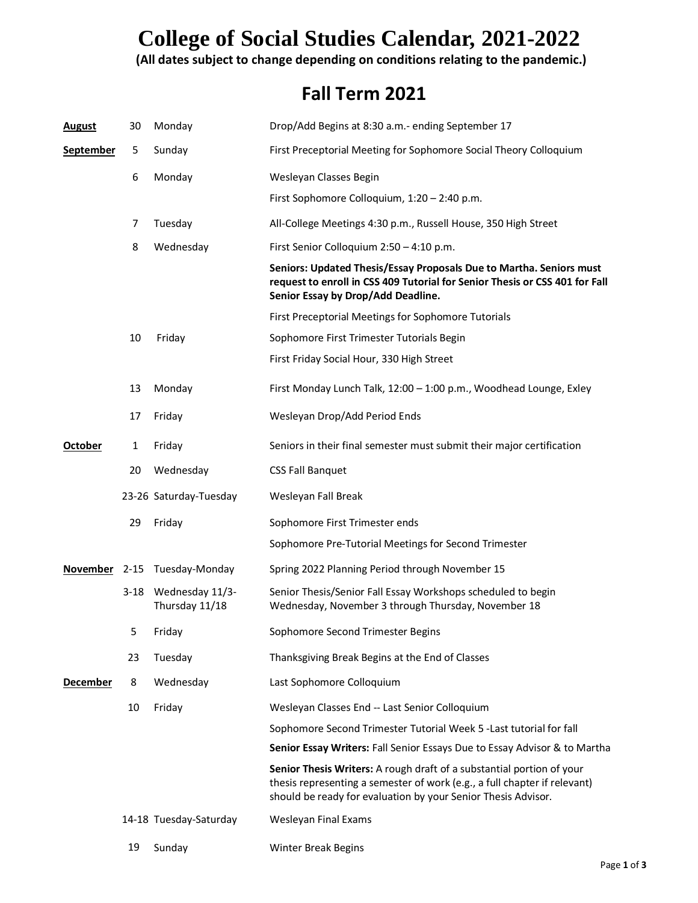## **College of Social Studies Calendar, 2021-2022**

#### **(All dates subject to change depending on conditions relating to the pandemic.)**

#### **Fall Term 2021**

| <b>August</b>    | 30       | Monday                            | Drop/Add Begins at 8:30 a.m.- ending September 17                                                                                                                                                                   |
|------------------|----------|-----------------------------------|---------------------------------------------------------------------------------------------------------------------------------------------------------------------------------------------------------------------|
| <u>September</u> | 5        | Sunday                            | First Preceptorial Meeting for Sophomore Social Theory Colloquium                                                                                                                                                   |
|                  | 6        | Monday                            | Wesleyan Classes Begin                                                                                                                                                                                              |
|                  |          |                                   | First Sophomore Colloquium, 1:20 - 2:40 p.m.                                                                                                                                                                        |
|                  | 7        | Tuesday                           | All-College Meetings 4:30 p.m., Russell House, 350 High Street                                                                                                                                                      |
|                  | 8        | Wednesday                         | First Senior Colloquium 2:50 - 4:10 p.m.                                                                                                                                                                            |
|                  |          |                                   | Seniors: Updated Thesis/Essay Proposals Due to Martha. Seniors must<br>request to enroll in CSS 409 Tutorial for Senior Thesis or CSS 401 for Fall<br>Senior Essay by Drop/Add Deadline.                            |
|                  |          |                                   | First Preceptorial Meetings for Sophomore Tutorials                                                                                                                                                                 |
|                  | 10       | Friday                            | Sophomore First Trimester Tutorials Begin                                                                                                                                                                           |
|                  |          |                                   | First Friday Social Hour, 330 High Street                                                                                                                                                                           |
|                  | 13       | Monday                            | First Monday Lunch Talk, 12:00 - 1:00 p.m., Woodhead Lounge, Exley                                                                                                                                                  |
|                  | 17       | Friday                            | Wesleyan Drop/Add Period Ends                                                                                                                                                                                       |
| <b>October</b>   | 1        | Friday                            | Seniors in their final semester must submit their major certification                                                                                                                                               |
|                  | 20       | Wednesday                         | <b>CSS Fall Banquet</b>                                                                                                                                                                                             |
|                  |          | 23-26 Saturday-Tuesday            | Wesleyan Fall Break                                                                                                                                                                                                 |
|                  |          |                                   |                                                                                                                                                                                                                     |
|                  | 29       | Friday                            | Sophomore First Trimester ends                                                                                                                                                                                      |
|                  |          |                                   | Sophomore Pre-Tutorial Meetings for Second Trimester                                                                                                                                                                |
|                  |          | November 2-15 Tuesday-Monday      | Spring 2022 Planning Period through November 15                                                                                                                                                                     |
|                  | $3 - 18$ | Wednesday 11/3-<br>Thursday 11/18 | Senior Thesis/Senior Fall Essay Workshops scheduled to begin<br>Wednesday, November 3 through Thursday, November 18                                                                                                 |
|                  | 5        | Friday                            | Sophomore Second Trimester Begins                                                                                                                                                                                   |
|                  | 23       | Tuesday                           | Thanksgiving Break Begins at the End of Classes                                                                                                                                                                     |
| <b>December</b>  | 8        | Wednesday                         | Last Sophomore Colloquium                                                                                                                                                                                           |
|                  | 10       | Friday                            | Wesleyan Classes End -- Last Senior Colloquium                                                                                                                                                                      |
|                  |          |                                   | Sophomore Second Trimester Tutorial Week 5 - Last tutorial for fall                                                                                                                                                 |
|                  |          |                                   | Senior Essay Writers: Fall Senior Essays Due to Essay Advisor & to Martha                                                                                                                                           |
|                  |          |                                   | Senior Thesis Writers: A rough draft of a substantial portion of your<br>thesis representing a semester of work (e.g., a full chapter if relevant)<br>should be ready for evaluation by your Senior Thesis Advisor. |
|                  |          | 14-18 Tuesday-Saturday            | Wesleyan Final Exams                                                                                                                                                                                                |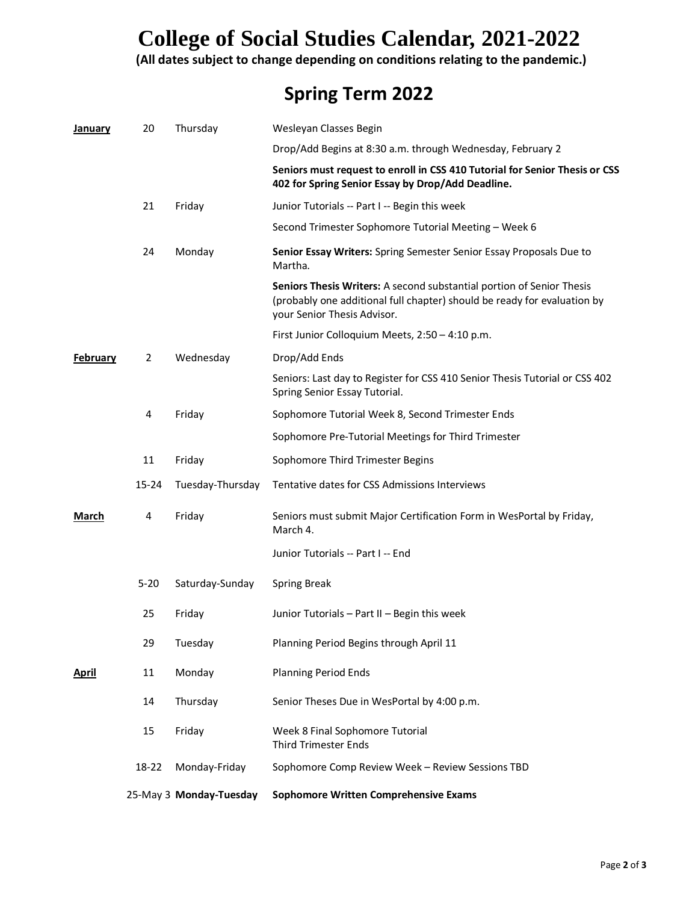## **College of Social Studies Calendar, 2021-2022**

**(All dates subject to change depending on conditions relating to the pandemic.)**

### **Spring Term 2022**

| January         | 20             | Thursday                | Wesleyan Classes Begin                                                                                                                                                           |
|-----------------|----------------|-------------------------|----------------------------------------------------------------------------------------------------------------------------------------------------------------------------------|
|                 |                |                         | Drop/Add Begins at 8:30 a.m. through Wednesday, February 2                                                                                                                       |
|                 |                |                         | Seniors must request to enroll in CSS 410 Tutorial for Senior Thesis or CSS<br>402 for Spring Senior Essay by Drop/Add Deadline.                                                 |
|                 | 21             | Friday                  | Junior Tutorials -- Part I -- Begin this week                                                                                                                                    |
|                 |                |                         | Second Trimester Sophomore Tutorial Meeting - Week 6                                                                                                                             |
|                 | 24             | Monday                  | Senior Essay Writers: Spring Semester Senior Essay Proposals Due to<br>Martha.                                                                                                   |
|                 |                |                         | Seniors Thesis Writers: A second substantial portion of Senior Thesis<br>(probably one additional full chapter) should be ready for evaluation by<br>your Senior Thesis Advisor. |
|                 |                |                         | First Junior Colloquium Meets, 2:50 - 4:10 p.m.                                                                                                                                  |
| <b>February</b> | $\overline{2}$ | Wednesday               | Drop/Add Ends                                                                                                                                                                    |
|                 |                |                         | Seniors: Last day to Register for CSS 410 Senior Thesis Tutorial or CSS 402<br>Spring Senior Essay Tutorial.                                                                     |
|                 | 4              | Friday                  | Sophomore Tutorial Week 8, Second Trimester Ends                                                                                                                                 |
|                 |                |                         | Sophomore Pre-Tutorial Meetings for Third Trimester                                                                                                                              |
|                 | 11             | Friday                  | Sophomore Third Trimester Begins                                                                                                                                                 |
|                 | $15 - 24$      | Tuesday-Thursday        | Tentative dates for CSS Admissions Interviews                                                                                                                                    |
| March           | 4              | Friday                  | Seniors must submit Major Certification Form in WesPortal by Friday,<br>March 4.                                                                                                 |
|                 |                |                         | Junior Tutorials -- Part I -- End                                                                                                                                                |
|                 | $5 - 20$       | Saturday-Sunday         | <b>Spring Break</b>                                                                                                                                                              |
|                 | 25             | Friday                  | Junior Tutorials - Part II - Begin this week                                                                                                                                     |
|                 | 29             | Tuesday                 | Planning Period Begins through April 11                                                                                                                                          |
| <b>April</b>    | 11             | Monday                  | <b>Planning Period Ends</b>                                                                                                                                                      |
|                 | 14             | Thursday                | Senior Theses Due in WesPortal by 4:00 p.m.                                                                                                                                      |
|                 | 15             | Friday                  | Week 8 Final Sophomore Tutorial<br><b>Third Trimester Ends</b>                                                                                                                   |
|                 | 18-22          | Monday-Friday           | Sophomore Comp Review Week - Review Sessions TBD                                                                                                                                 |
|                 |                | 25-May 3 Monday-Tuesday | <b>Sophomore Written Comprehensive Exams</b>                                                                                                                                     |